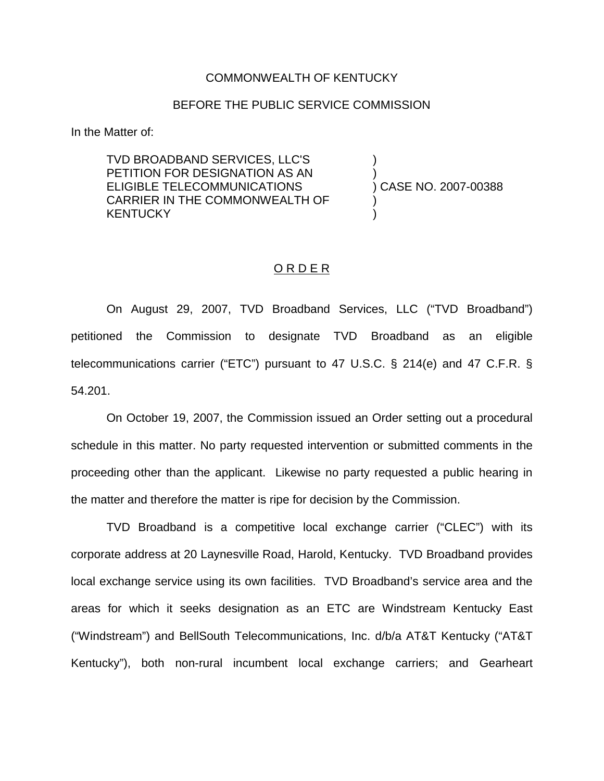## COMMONWEALTH OF KENTUCKY

## BEFORE THE PUBLIC SERVICE COMMISSION

In the Matter of:

TVD BROADBAND SERVICES, LLC'S PETITION FOR DESIGNATION AS AN ELIGIBLE TELECOMMUNICATIONS CARRIER IN THE COMMONWEALTH OF KENTUCKY

) ) ) CASE NO. 2007-00388 )

)

## ORDER

On August 29, 2007, TVD Broadband Services, LLC ("TVD Broadband") petitioned the Commission to designate TVD Broadband as an eligible telecommunications carrier ("ETC") pursuant to 47 U.S.C. § 214(e) and 47 C.F.R. § 54.201.

On October 19, 2007, the Commission issued an Order setting out a procedural schedule in this matter. No party requested intervention or submitted comments in the proceeding other than the applicant. Likewise no party requested a public hearing in the matter and therefore the matter is ripe for decision by the Commission.

TVD Broadband is a competitive local exchange carrier ("CLEC") with its corporate address at 20 Laynesville Road, Harold, Kentucky. TVD Broadband provides local exchange service using its own facilities. TVD Broadband's service area and the areas for which it seeks designation as an ETC are Windstream Kentucky East ("Windstream") and BellSouth Telecommunications, Inc. d/b/a AT&T Kentucky ("AT&T Kentucky"), both non-rural incumbent local exchange carriers; and Gearheart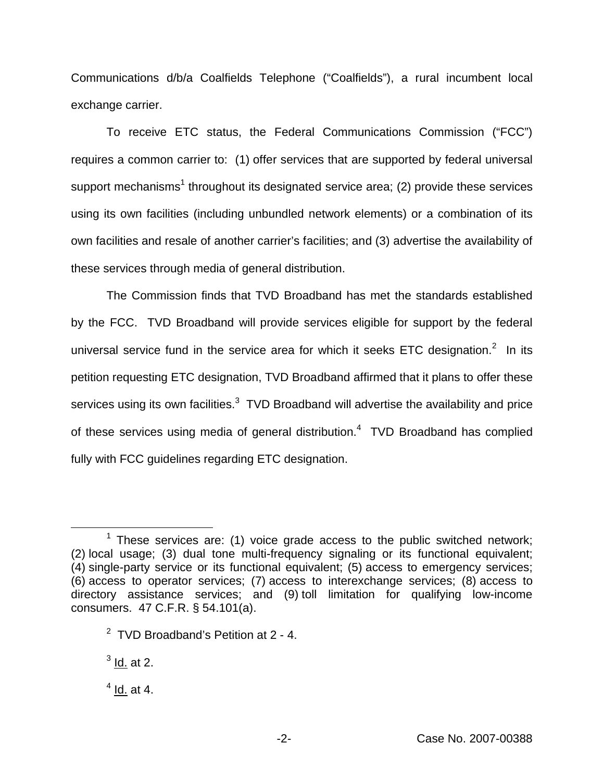Communications d/b/a Coalfields Telephone ("Coalfields"), a rural incumbent local exchange carrier.

To receive ETC status, the Federal Communications Commission ("FCC") requires a common carrier to: (1) offer services that are supported by federal universal support mechanisms<sup>1</sup> throughout its designated service area; (2) provide these services using its own facilities (including unbundled network elements) or a combination of its own facilities and resale of another carrier's facilities; and (3) advertise the availability of these services through media of general distribution.

The Commission finds that TVD Broadband has met the standards established by the FCC. TVD Broadband will provide services eligible for support by the federal universal service fund in the service area for which it seeks ETC designation. $2$  In its petition requesting ETC designation, TVD Broadband affirmed that it plans to offer these services using its own facilities.<sup>3</sup> TVD Broadband will advertise the availability and price of these services using media of general distribution.<sup>4</sup> TVD Broadband has complied fully with FCC guidelines regarding ETC designation.

 $<sup>4</sup>$  Id. at 4.</sup>

 $1$  These services are: (1) voice grade access to the public switched network; (2) local usage; (3) dual tone multi-frequency signaling or its functional equivalent; (4) single-party service or its functional equivalent; (5) access to emergency services; (6) access to operator services; (7) access to interexchange services; (8) access to directory assistance services; and (9) toll limitation for qualifying low-income consumers. 47 C.F.R. § 54.101(a).

 $2$  TVD Broadband's Petition at 2 - 4.

 $<sup>3</sup>$  Id. at 2.</sup>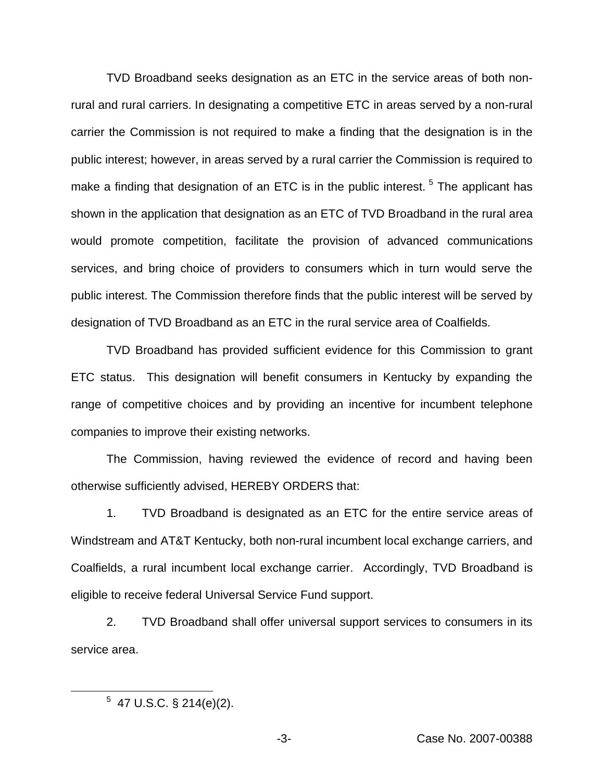TVD Broadband seeks designation as an ETC in the service areas of both nonrural and rural carriers. In designating a competitive ETC in areas served by a non-rural carrier the Commission is not required to make a finding that the designation is in the public interest; however, in areas served by a rural carrier the Commission is required to make a finding that designation of an ETC is in the public interest.<sup>5</sup> The applicant has shown in the application that designation as an ETC of TVD Broadband in the rural area would promote competition, facilitate the provision of advanced communications services, and bring choice of providers to consumers which in turn would serve the public interest. The Commission therefore finds that the public interest will be served by designation of TVD Broadband as an ETC in the rural service area of Coalfields.

TVD Broadband has provided sufficient evidence for this Commission to grant ETC status. This designation will benefit consumers in Kentucky by expanding the range of competitive choices and by providing an incentive for incumbent telephone companies to improve their existing networks.

The Commission, having reviewed the evidence of record and having been otherwise sufficiently advised, HEREBY ORDERS that:

1. TVD Broadband is designated as an ETC for the entire service areas of Windstream and AT&T Kentucky, both non-rural incumbent local exchange carriers, and Coalfields, a rural incumbent local exchange carrier. Accordingly, TVD Broadband is eligible to receive federal Universal Service Fund support.

2. TVD Broadband shall offer universal support services to consumers in its service area.

 $5$  47 U.S.C. § 214(e)(2).